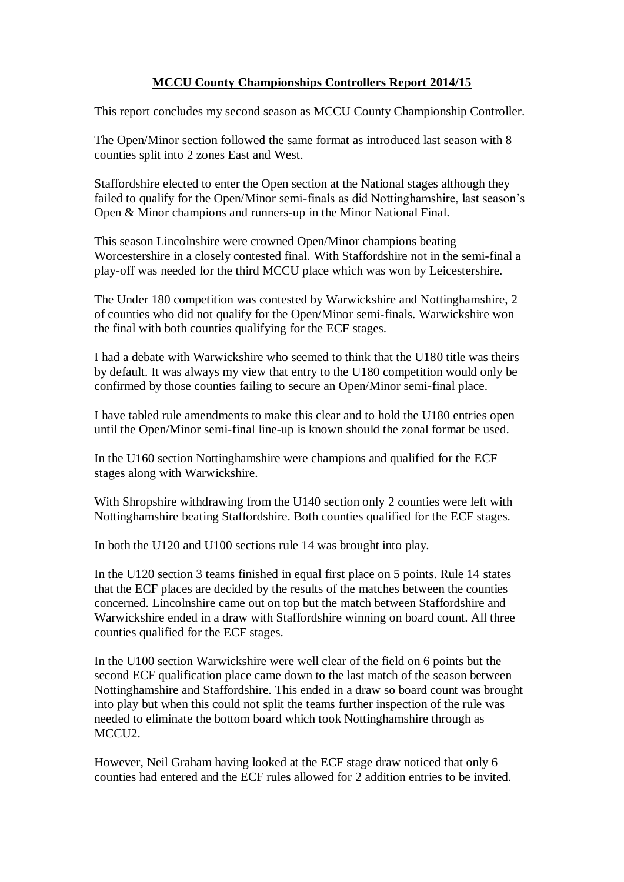# **MCCU County Championships Controllers Report 2014/15**

This report concludes my second season as MCCU County Championship Controller.

The Open/Minor section followed the same format as introduced last season with 8 counties split into 2 zones East and West.

Staffordshire elected to enter the Open section at the National stages although they failed to qualify for the Open/Minor semi-finals as did Nottinghamshire, last season's Open & Minor champions and runners-up in the Minor National Final.

This season Lincolnshire were crowned Open/Minor champions beating Worcestershire in a closely contested final. With Staffordshire not in the semi-final a play-off was needed for the third MCCU place which was won by Leicestershire.

The Under 180 competition was contested by Warwickshire and Nottinghamshire, 2 of counties who did not qualify for the Open/Minor semi-finals. Warwickshire won the final with both counties qualifying for the ECF stages.

I had a debate with Warwickshire who seemed to think that the U180 title was theirs by default. It was always my view that entry to the U180 competition would only be confirmed by those counties failing to secure an Open/Minor semi-final place.

I have tabled rule amendments to make this clear and to hold the U180 entries open until the Open/Minor semi-final line-up is known should the zonal format be used.

In the U160 section Nottinghamshire were champions and qualified for the ECF stages along with Warwickshire.

With Shropshire withdrawing from the U140 section only 2 counties were left with Nottinghamshire beating Staffordshire. Both counties qualified for the ECF stages.

In both the U120 and U100 sections rule 14 was brought into play.

In the U120 section 3 teams finished in equal first place on 5 points. Rule 14 states that the ECF places are decided by the results of the matches between the counties concerned. Lincolnshire came out on top but the match between Staffordshire and Warwickshire ended in a draw with Staffordshire winning on board count. All three counties qualified for the ECF stages.

In the U100 section Warwickshire were well clear of the field on 6 points but the second ECF qualification place came down to the last match of the season between Nottinghamshire and Staffordshire. This ended in a draw so board count was brought into play but when this could not split the teams further inspection of the rule was needed to eliminate the bottom board which took Nottinghamshire through as MCCU2.

However, Neil Graham having looked at the ECF stage draw noticed that only 6 counties had entered and the ECF rules allowed for 2 addition entries to be invited.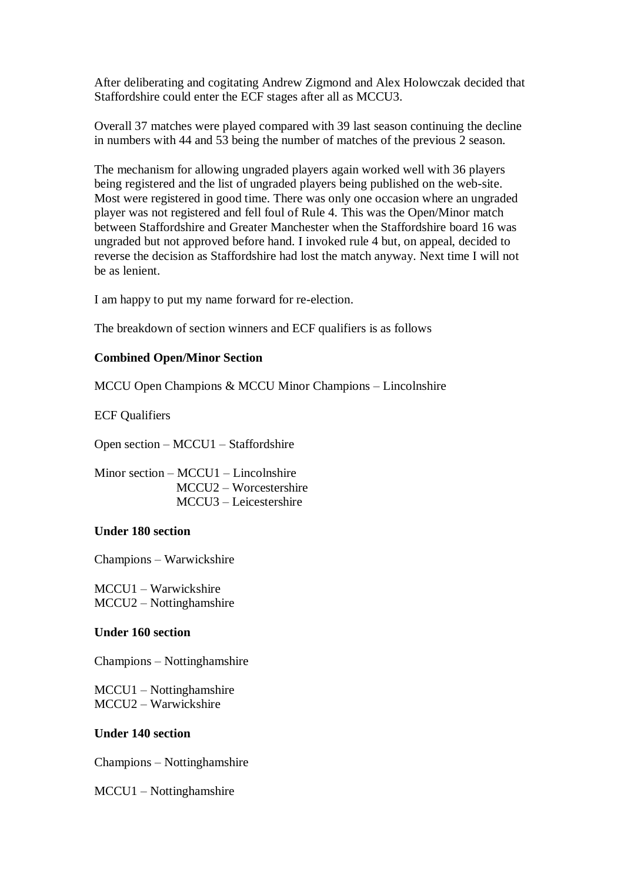After deliberating and cogitating Andrew Zigmond and Alex Holowczak decided that Staffordshire could enter the ECF stages after all as MCCU3.

Overall 37 matches were played compared with 39 last season continuing the decline in numbers with 44 and 53 being the number of matches of the previous 2 season.

The mechanism for allowing ungraded players again worked well with 36 players being registered and the list of ungraded players being published on the web-site. Most were registered in good time. There was only one occasion where an ungraded player was not registered and fell foul of Rule 4. This was the Open/Minor match between Staffordshire and Greater Manchester when the Staffordshire board 16 was ungraded but not approved before hand. I invoked rule 4 but, on appeal, decided to reverse the decision as Staffordshire had lost the match anyway. Next time I will not be as lenient.

I am happy to put my name forward for re-election.

The breakdown of section winners and ECF qualifiers is as follows

## **Combined Open/Minor Section**

MCCU Open Champions & MCCU Minor Champions – Lincolnshire

ECF Qualifiers

Open section – MCCU1 – Staffordshire

Minor section – MCCU1 – Lincolnshire MCCU2 – Worcestershire MCCU3 – Leicestershire

#### **Under 180 section**

Champions – Warwickshire

MCCU1 – Warwickshire MCCU2 – Nottinghamshire

#### **Under 160 section**

Champions – Nottinghamshire

MCCU1 – Nottinghamshire MCCU2 – Warwickshire

## **Under 140 section**

Champions – Nottinghamshire

MCCU1 – Nottinghamshire